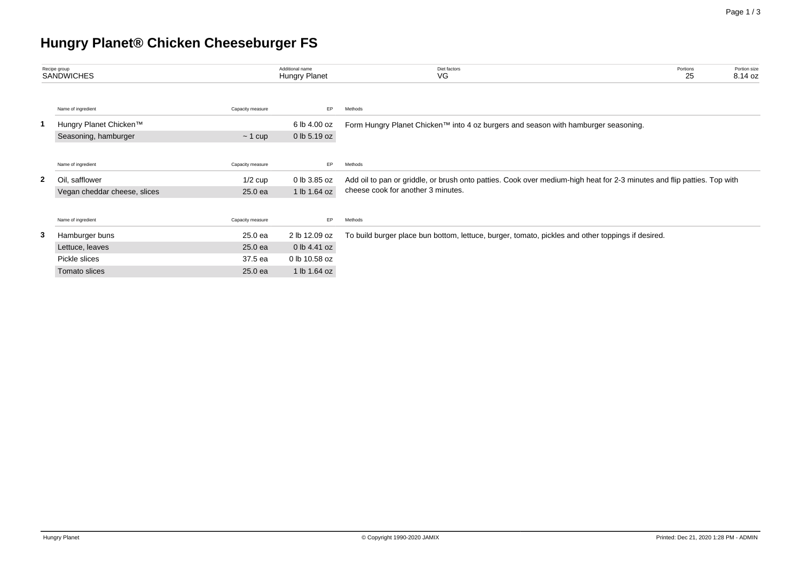# **Hungry Planet® Chicken Cheeseburger FS**

| Recipe group<br><b>SANDWICHES</b> |                              | Additional name<br>Hungry Planet | Diet factors<br>VG | Portion size<br>Portions<br>25<br>8.14 oz                                                                                                                     |  |  |  |  |  |
|-----------------------------------|------------------------------|----------------------------------|--------------------|---------------------------------------------------------------------------------------------------------------------------------------------------------------|--|--|--|--|--|
|                                   | Name of ingredient           | Capacity measure                 | EP.                | Methods                                                                                                                                                       |  |  |  |  |  |
|                                   | Hungry Planet Chicken™       |                                  | 6 lb 4.00 oz       | Form Hungry Planet Chicken™ into 4 oz burgers and season with hamburger seasoning.                                                                            |  |  |  |  |  |
|                                   | Seasoning, hamburger         | $\sim$ 1 cup                     | 0 lb 5.19 oz       |                                                                                                                                                               |  |  |  |  |  |
|                                   |                              |                                  |                    |                                                                                                                                                               |  |  |  |  |  |
|                                   | Name of ingredient           | Capacity measure                 | EP.                | Methods                                                                                                                                                       |  |  |  |  |  |
| $\mathbf{2}$                      | - Oi<br>safflower            | $1/2$ cup                        | 0 lb 3.85 oz       | Add oil to pan or griddle, or brush onto patties. Cook over medium-high heat for 2-3 minutes and flip patties. Top with<br>cheese cook for another 3 minutes. |  |  |  |  |  |
|                                   | Vegan cheddar cheese, slices | 25.0 ea                          | 1 lb 1.64 oz       |                                                                                                                                                               |  |  |  |  |  |
|                                   |                              |                                  |                    |                                                                                                                                                               |  |  |  |  |  |
|                                   | Name of ingredient           | Capacity measure                 | EP.                | Methods                                                                                                                                                       |  |  |  |  |  |
| 3                                 | Hamburger buns               | 25.0 ea                          | 2 lb 12.09 oz      | To build burger place bun bottom, lettuce, burger, tomato, pickles and other toppings if desired.                                                             |  |  |  |  |  |
|                                   | Lettuce, leaves              | 25.0 ea                          | 0 lb 4.41 oz       |                                                                                                                                                               |  |  |  |  |  |
|                                   | Pickle slices                | 37.5 ea                          | 0 lb 10.58 oz      |                                                                                                                                                               |  |  |  |  |  |
|                                   | Tomato slices                | 25.0 ea                          | 1 lb 1.64 oz       |                                                                                                                                                               |  |  |  |  |  |
|                                   |                              |                                  |                    |                                                                                                                                                               |  |  |  |  |  |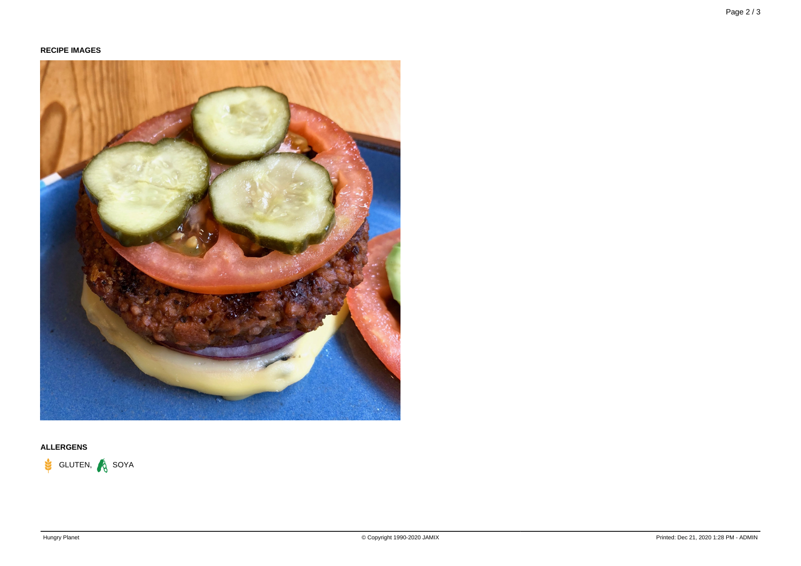

## **ALLERGENS**